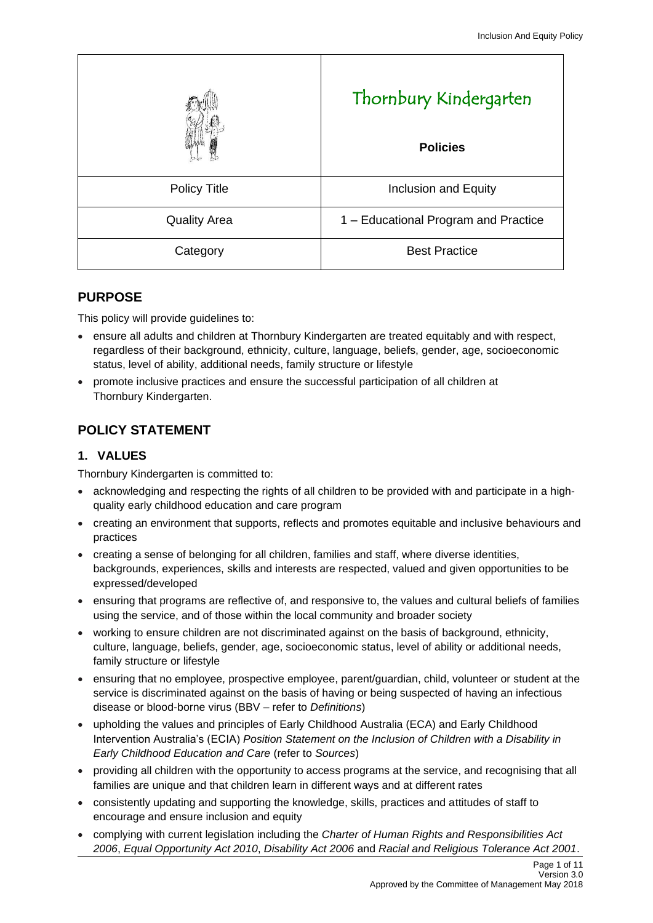|                     | Thornbury Kindergarten<br><b>Policies</b> |
|---------------------|-------------------------------------------|
| <b>Policy Title</b> | Inclusion and Equity                      |
| <b>Quality Area</b> | 1 – Educational Program and Practice      |
| Category            | <b>Best Practice</b>                      |

## **PURPOSE**

This policy will provide guidelines to:

- ensure all adults and children at Thornbury Kindergarten are treated equitably and with respect, regardless of their background, ethnicity, culture, language, beliefs, gender, age, socioeconomic status, level of ability, additional needs, family structure or lifestyle
- promote inclusive practices and ensure the successful participation of all children at Thornbury Kindergarten.

# **POLICY STATEMENT**

## **1. VALUES**

Thornbury Kindergarten is committed to:

- acknowledging and respecting the rights of all children to be provided with and participate in a highquality early childhood education and care program
- creating an environment that supports, reflects and promotes equitable and inclusive behaviours and practices
- creating a sense of belonging for all children, families and staff, where diverse identities, backgrounds, experiences, skills and interests are respected, valued and given opportunities to be expressed/developed
- ensuring that programs are reflective of, and responsive to, the values and cultural beliefs of families using the service, and of those within the local community and broader society
- working to ensure children are not discriminated against on the basis of background, ethnicity, culture, language, beliefs, gender, age, socioeconomic status, level of ability or additional needs, family structure or lifestyle
- ensuring that no employee, prospective employee, parent/guardian, child, volunteer or student at the service is discriminated against on the basis of having or being suspected of having an infectious disease or blood-borne virus (BBV – refer to *Definitions*)
- upholding the values and principles of Early Childhood Australia (ECA) and Early Childhood Intervention Australia's (ECIA) *Position Statement on the Inclusion of Children with a Disability in Early Childhood Education and Care* (refer to *Sources*)
- providing all children with the opportunity to access programs at the service, and recognising that all families are unique and that children learn in different ways and at different rates
- consistently updating and supporting the knowledge, skills, practices and attitudes of staff to encourage and ensure inclusion and equity
- complying with current legislation including the *[Charter of Human Rights and Responsibilities Act](http://www.legislation.vic.gov.au/Domino/Web_Notes/LDMS/PubStatbook.nsf/f932b66241ecf1b7ca256e92000e23be/54d73763ef9dca36ca2571b6002428b0!OpenDocument)  [2006](http://www.legislation.vic.gov.au/Domino/Web_Notes/LDMS/PubStatbook.nsf/f932b66241ecf1b7ca256e92000e23be/54d73763ef9dca36ca2571b6002428b0!OpenDocument)*, *Equal Opportunity Act 2010*, *Disability Act 2006* and *Racial and Religious Tolerance Act 2001*.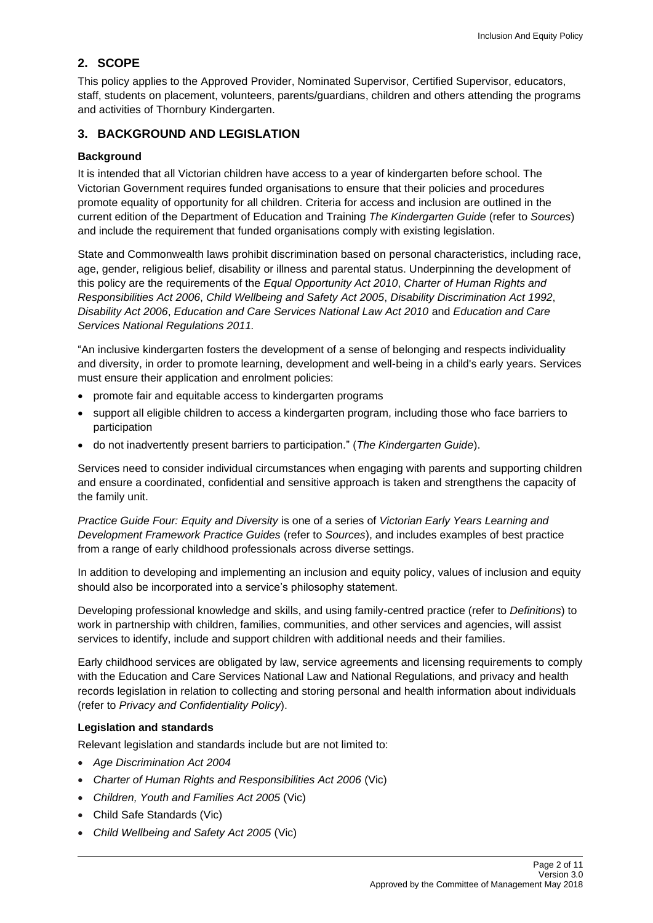# **2. SCOPE**

This policy applies to the Approved Provider, Nominated Supervisor, Certified Supervisor, educators, staff, students on placement, volunteers, parents/guardians, children and others attending the programs and activities of Thornbury Kindergarten.

## **3. BACKGROUND AND LEGISLATION**

### **Background**

It is intended that all Victorian children have access to a year of kindergarten before school. The Victorian Government requires funded organisations to ensure that their policies and procedures promote equality of opportunity for all children. Criteria for access and inclusion are outlined in the current edition of the Department of Education and Training *The Kindergarten Guide* (refer to *Sources*) and include the requirement that funded organisations comply with existing legislation.

State and Commonwealth laws prohibit discrimination based on personal characteristics, including race, age, gender, religious belief, disability or illness and parental status. Underpinning the development of this policy are the requirements of the *Equal Opportunity Act 2010*, *Charter of Human Rights and Responsibilities Act 2006*, *Child Wellbeing and Safety Act 2005*, *Disability Discrimination Act 1992*, *Disability Act 2006*, *Education and Care Services National Law Act 2010* and *Education and Care Services National Regulations 2011.*

"An inclusive kindergarten fosters the development of a sense of belonging and respects individuality and diversity, in order to promote learning, development and well-being in a child's early years. Services must ensure their application and enrolment policies:

- promote fair and equitable access to kindergarten programs
- support all eligible children to access a kindergarten program, including those who face barriers to participation
- do not inadvertently present barriers to participation." (*The Kindergarten Guide*).

Services need to consider individual circumstances when engaging with parents and supporting children and ensure a coordinated, confidential and sensitive approach is taken and strengthens the capacity of the family unit.

*Practice Guide Four: Equity and Diversity* is one of a series of *Victorian Early Years Learning and Development Framework Practice Guides* (refer to *Sources*), and includes examples of best practice from a range of early childhood professionals across diverse settings.

In addition to developing and implementing an inclusion and equity policy, values of inclusion and equity should also be incorporated into a service's philosophy statement.

Developing professional knowledge and skills, and using family-centred practice (refer to *Definitions*) to work in partnership with children, families, communities, and other services and agencies, will assist services to identify, include and support children with additional needs and their families.

Early childhood services are obligated by law, service agreements and licensing requirements to comply with the Education and Care Services National Law and National Regulations, and privacy and health records legislation in relation to collecting and storing personal and health information about individuals (refer to *Privacy and Confidentiality Policy*).

## **Legislation and standards**

Relevant legislation and standards include but are not limited to:

- *Age Discrimination Act 2004*
- *[Charter of Human Rights and Responsibilities Act 2006](http://www.legislation.vic.gov.au/Domino/Web_Notes/LDMS/PubStatbook.nsf/f932b66241ecf1b7ca256e92000e23be/54d73763ef9dca36ca2571b6002428b0!OpenDocument)* (Vic)
- *Children, Youth and Families Act 2005* (Vic)
- Child Safe Standards (Vic)
- *Child Wellbeing and Safety Act 2005* (Vic)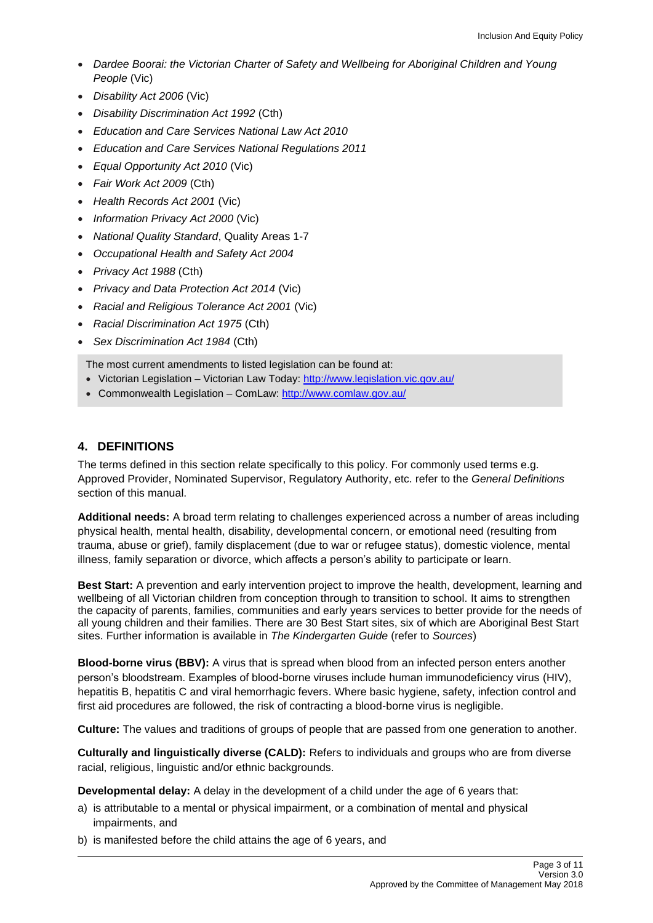- *Dardee Boorai: the Victorian Charter of Safety and Wellbeing for Aboriginal Children and Young People* (Vic)
- *Disability Act 2006* (Vic)
- *Disability Discrimination Act 1992* (Cth)
- *Education and Care Services National Law Act 2010*
- *Education and Care Services National Regulations 2011*
- *Equal Opportunity Act 2010* (Vic)
- *Fair Work Act 2009* (Cth)
- *Health Records Act 2001* (Vic)
- *Information Privacy Act 2000* (Vic)
- *National Quality Standard*, Quality Areas 1-7
- *Occupational Health and Safety Act 2004*
- *Privacy Act 1988* (Cth)
- *Privacy and Data Protection Act 2014* (Vic)
- *Racial and Religious Tolerance Act 2001* (Vic)
- *Racial Discrimination Act 1975* (Cth)
- *Sex Discrimination Act 1984* (Cth)

The most current amendments to listed legislation can be found at:

- Victorian Legislation Victorian Law Today[: http://www.legislation.vic.gov.au/](http://www.legislation.vic.gov.au/)
- Commonwealth Legislation ComLaw:<http://www.comlaw.gov.au/>

### **4. DEFINITIONS**

The terms defined in this section relate specifically to this policy. For commonly used terms e.g. Approved Provider, Nominated Supervisor, Regulatory Authority, etc. refer to the *General Definitions* section of this manual.

**Additional needs:** A broad term relating to challenges experienced across a number of areas including physical health, mental health, disability, developmental concern, or emotional need (resulting from trauma, abuse or grief), family displacement (due to war or refugee status), domestic violence, mental illness, family separation or divorce, which affects a person's ability to participate or learn.

**Best Start:** A prevention and early intervention project to improve the health, development, learning and wellbeing of all Victorian children from conception through to transition to school. It aims to strengthen the capacity of parents, families, communities and early years services to better provide for the needs of all young children and their families. There are 30 Best Start sites, six of which are Aboriginal Best Start sites. Further information is available in *The Kindergarten Guide* (refer to *Sources*)

**Blood-borne virus (BBV):** A virus that is spread when blood from an infected person enters another person's bloodstream. Examples of blood-borne viruses include human immunodeficiency virus [\(HIV\)](http://en.wikipedia.org/wiki/HIV), [hepatitis B,](http://en.wikipedia.org/wiki/Hepatitis_B) [hepatitis C](http://en.wikipedia.org/wiki/Hepatitis_C) and [viral hemorrhagic fevers.](http://en.wikipedia.org/wiki/Viral_hemorrhagic_fever) Where basic hygiene, safety, infection control and first aid procedures are followed, the risk of contracting a blood-borne virus is negligible.

**Culture:** The values and traditions of groups of people that are passed from one generation to another.

**Culturally and linguistically diverse (CALD):** Refers to individuals and groups who are from diverse racial, religious, linguistic and/or ethnic backgrounds.

**Developmental delay:** A delay in the development of a child under the age of 6 years that:

- a) is attributable to a mental or physical impairment, or a combination of mental and physical impairments, and
- b) is manifested before the child attains the age of 6 years, and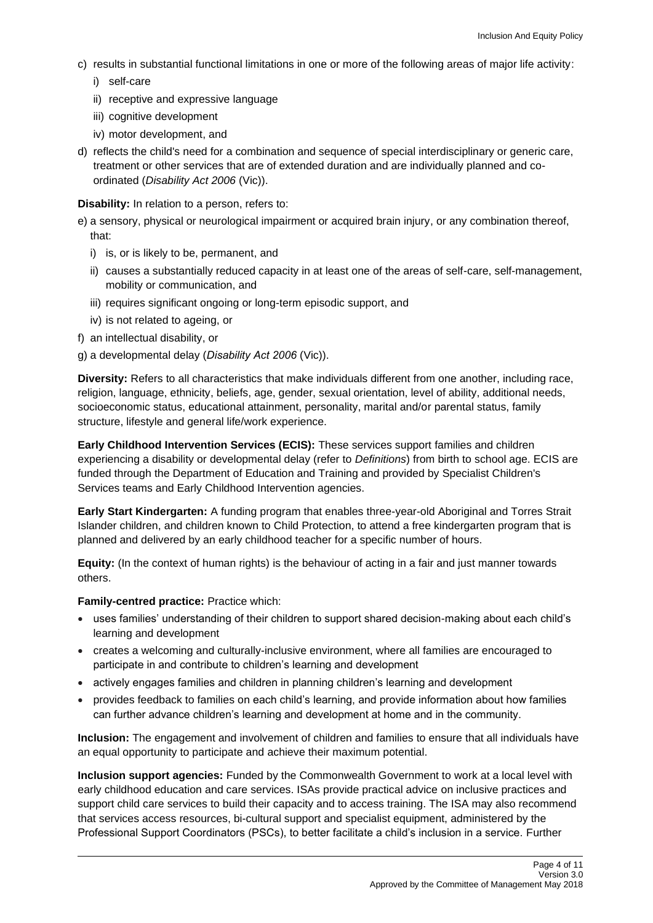- c) results in substantial functional limitations in one or more of the following areas of major life activity:
	- i) self-care
	- ii) receptive and expressive language
	- iii) cognitive development
	- iv) motor development, and
- d) reflects the child's need for a combination and sequence of special interdisciplinary or generic care, treatment or other services that are of extended duration and are individually planned and coordinated (*Disability Act 2006* (Vic)).

**Disability:** In relation to a person, refers to:

- e) a sensory, physical or neurological impairment or acquired brain injury, or any combination thereof, that:
	- i) is, or is likely to be, permanent, and
	- ii) causes a substantially reduced capacity in at least one of the areas of self-care, self-management, mobility or communication, and
	- iii) requires significant ongoing or long-term episodic support, and
	- iv) is not related to ageing, or
- f) an intellectual disability, or
- g) a developmental delay (*Disability Act 2006* (Vic)).

**Diversity:** Refers to all characteristics that make individuals different from one another, including race, religion, language, ethnicity, beliefs, age, gender, sexual orientation, level of ability, additional needs, socioeconomic status, educational attainment, personality, marital and/or parental status, family structure, lifestyle and general life/work experience.

**Early Childhood Intervention Services (ECIS):** These services support families and children experiencing a disability or developmental delay (refer to *Definitions*) from birth to school age. ECIS are funded through the Department of Education and Training and provided by Specialist Children's Services teams and Early Childhood Intervention agencies.

**Early Start Kindergarten:** A funding program that enables three-year-old Aboriginal and Torres Strait Islander children, and children known to Child Protection, to attend a free kindergarten program that is planned and delivered by an early childhood teacher for a specific number of hours.

**Equity:** (In the context of human rights) is the behaviour of acting in a fair and just manner towards others.

**Family-centred practice:** Practice which:

- uses families' understanding of their children to support shared decision-making about each child's learning and development
- creates a welcoming and culturally-inclusive environment, where all families are encouraged to participate in and contribute to children's learning and development
- actively engages families and children in planning children's learning and development
- provides feedback to families on each child's learning, and provide information about how families can further advance children's learning and development at home and in the community.

**Inclusion:** The engagement and involvement of children and families to ensure that all individuals have an equal opportunity to participate and achieve their maximum potential.

**Inclusion support agencies:** Funded by the Commonwealth Government to work at a local level with early childhood education and care services. ISAs provide practical advice on inclusive practices and support child care services to build their capacity and to access training. The ISA may also recommend that services access resources, bi-cultural support and specialist equipment, administered by the Professional Support Coordinators (PSCs), to better facilitate a child's inclusion in a service. Further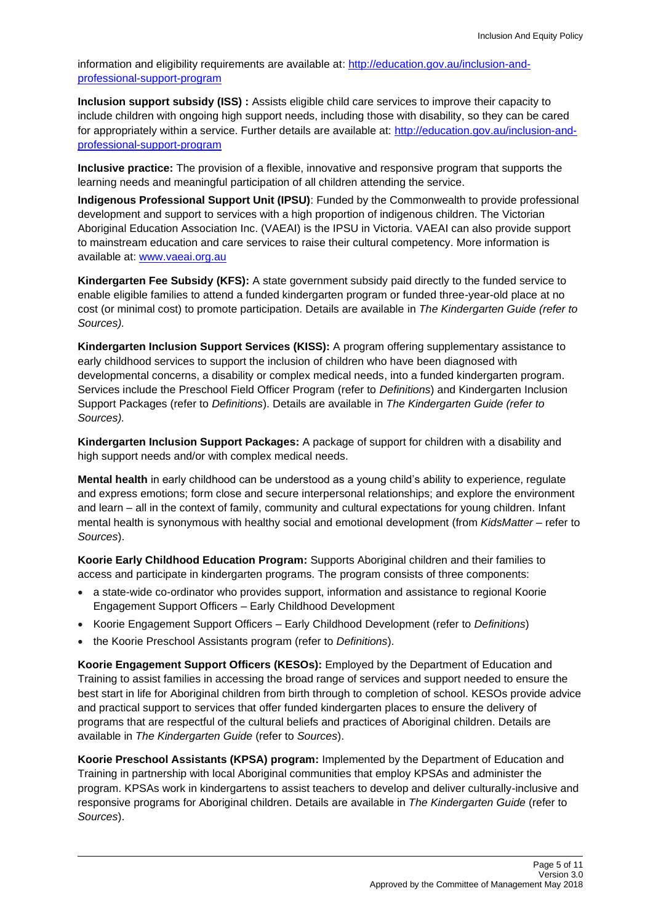information and eligibility requirements are available at[: http://education.gov.au/inclusion-and](http://education.gov.au/inclusion-and-professional-support-program)[professional-support-program](http://education.gov.au/inclusion-and-professional-support-program)

**Inclusion support subsidy (ISS) :** Assists eligible child care services to improve their capacity to include children with ongoing high support needs, including those with disability, so they can be cared for appropriately within a service. Further details are available at: [http://education.gov.au/inclusion-and](http://education.gov.au/inclusion-and-professional-support-program)[professional-support-program](http://education.gov.au/inclusion-and-professional-support-program)

**Inclusive practice:** The provision of a flexible, innovative and responsive program that supports the learning needs and meaningful participation of all children attending the service.

**Indigenous Professional Support Unit (IPSU)**: Funded by the Commonwealth to provide professional development and support to services with a high proportion of indigenous children. The Victorian Aboriginal Education Association Inc. (VAEAI) is the IPSU in Victoria. VAEAI can also provide support to mainstream education and care services to raise their cultural competency. More information is available at: [www.vaeai.org.au](http://www.vaeai.org.au/)

**Kindergarten Fee Subsidy (KFS):** A state government subsidy paid directly to the funded service to enable eligible families to attend a funded kindergarten program or funded three-year-old place at no cost (or minimal cost) to promote participation. Details are available in *The Kindergarten Guide (refer to Sources).*

**Kindergarten Inclusion Support Services (KISS):** A program offering supplementary assistance to early childhood services to support the inclusion of children who have been diagnosed with developmental concerns, a disability or complex medical needs, into a funded kindergarten program. Services include the Preschool Field Officer Program (refer to *Definitions*) and Kindergarten Inclusion Support Packages (refer to *Definitions*). Details are available in *The Kindergarten Guide (refer to Sources).*

**Kindergarten Inclusion Support Packages:** A package of support for children with a disability and high support needs and/or with complex medical needs.

**Mental health** in early childhood can be understood as a young child's ability to experience, regulate and express emotions; form close and secure interpersonal relationships; and explore the environment and learn – all in the context of family, community and cultural expectations for young children. Infant mental health is synonymous with healthy social and emotional development (from *KidsMatter –* refer to *Sources*).

**Koorie Early Childhood Education Program:** Supports Aboriginal children and their families to access and participate in kindergarten programs. The program consists of three components:

- a state-wide co-ordinator who provides support, information and assistance to regional Koorie Engagement Support Officers – Early Childhood Development
- Koorie Engagement Support Officers Early Childhood Development (refer to *Definitions*)
- the Koorie Preschool Assistants program (refer to *Definitions*).

**Koorie Engagement Support Officers (KESOs):** Employed by the Department of Education and Training to assist families in accessing the broad range of services and support needed to ensure the best start in life for Aboriginal children from birth through to completion of school. KESOs provide advice and practical support to services that offer funded kindergarten places to ensure the delivery of programs that are respectful of the cultural beliefs and practices of Aboriginal children. Details are available in *The Kindergarten Guide* (refer to *Sources*).

**Koorie Preschool Assistants (KPSA) program:** Implemented by the Department of Education and Training in partnership with local Aboriginal communities that employ KPSAs and administer the program. KPSAs work in kindergartens to assist teachers to develop and deliver culturally-inclusive and responsive programs for Aboriginal children. Details are available in *The Kindergarten Guide* (refer to *Sources*).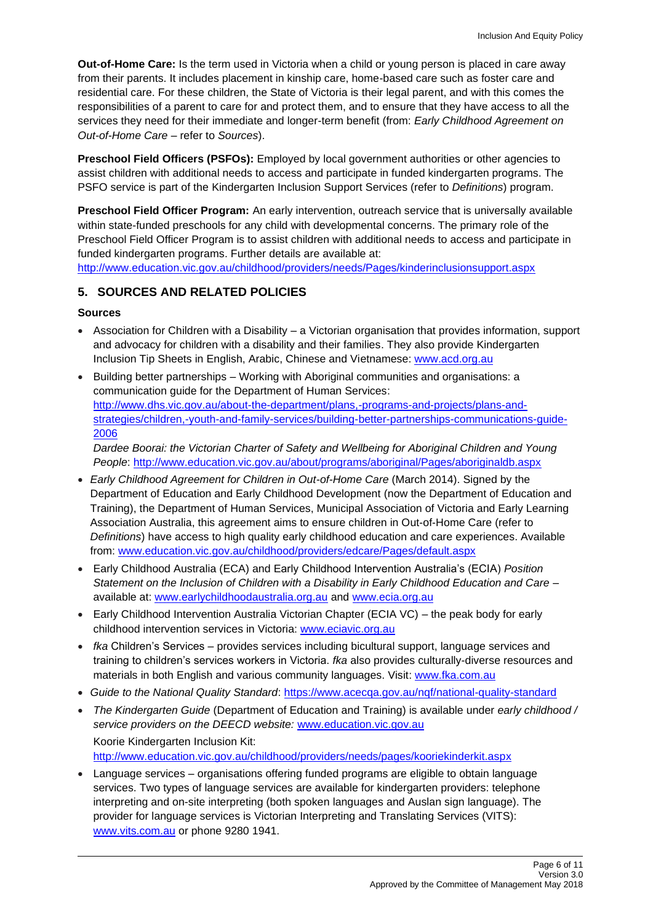**Out-of-Home Care:** Is the term used in Victoria when a child or young person is placed in care away from their parents. It includes placement in kinship care, home-based care such as foster care and residential care. For these children, the State of Victoria is their legal parent, and with this comes the responsibilities of a parent to care for and protect them, and to ensure that they have access to all the services they need for their immediate and longer-term benefit (from: *Early Childhood Agreement on Out-of-Home Care* – refer to *Sources*).

**Preschool Field Officers (PSFOs):** Employed by local government authorities or other agencies to assist children with additional needs to access and participate in funded kindergarten programs. The PSFO service is part of the Kindergarten Inclusion Support Services (refer to *Definitions*) program.

**Preschool Field Officer Program:** An early intervention, outreach service that is universally available within state-funded preschools for any child with developmental concerns. The primary role of the Preschool Field Officer Program is to assist children with additional needs to access and participate in funded kindergarten programs. Further details are available at:

<http://www.education.vic.gov.au/childhood/providers/needs/Pages/kinderinclusionsupport.aspx>

## **5. SOURCES AND RELATED POLICIES**

## **Sources**

- Association for Children with a Disability a Victorian organisation that provides information, support and advocacy for children with a disability and their families. They also provide Kindergarten Inclusion Tip Sheets in English, Arabic, Chinese and Vietnamese: [www.acd.org.au](http://www.acd.org.au/)
- Building better partnerships Working with Aboriginal communities and organisations: a communication guide for the Department of Human Services: [http://www.dhs.vic.gov.au/about-the-department/plans,-programs-and-projects/plans-and](http://www.dhs.vic.gov.au/about-the-department/plans,-programs-and-projects/plans-and-strategies/children,-youth-and-family-services/building-better-partnerships-communications-guide-2006)[strategies/children,-youth-and-family-services/building-better-partnerships-communications-guide-](http://www.dhs.vic.gov.au/about-the-department/plans,-programs-and-projects/plans-and-strategies/children,-youth-and-family-services/building-better-partnerships-communications-guide-2006)[2006](http://www.dhs.vic.gov.au/about-the-department/plans,-programs-and-projects/plans-and-strategies/children,-youth-and-family-services/building-better-partnerships-communications-guide-2006)

*Dardee Boorai: the Victorian Charter of Safety and Wellbeing for Aboriginal Children and Young People*: <http://www.education.vic.gov.au/about/programs/aboriginal/Pages/aboriginaldb.aspx>

- *Early Childhood Agreement for Children in Out-of-Home Care* (March 2014). Signed by the Department of Education and Early Childhood Development (now the Department of Education and Training), the Department of Human Services, Municipal Association of Victoria and Early Learning Association Australia, this agreement aims to ensure children in Out-of-Home Care (refer to *Definitions*) have access to high quality early childhood education and care experiences. Available from: [www.education.vic.gov.au/childhood/providers/edcare/Pages/default.aspx](http://www.education.vic.gov.au/childhood/providers/edcare/Pages/default.aspx)
- Early Childhood Australia (ECA) and Early Childhood Intervention Australia's (ECIA) *Position Statement on the Inclusion of Children with a Disability in Early Childhood Education and Care –* available at: [www.earlychildhoodaustralia.org.au](http://www.earlychildhoodaustralia.org.au/) and [www.ecia.org.au](http://www.ecia.org.au/)
- Early Childhood Intervention Australia Victorian Chapter (ECIA VC) the peak body for early childhood intervention services in Victoria: [www.eciavic.org.au](http://www.eciavic.org.au/)
- *fka* Children's Services provides services including bicultural support, language services and training to children's services workers in Victoria. *fka* also provides culturally-diverse resources and materials in both English and various community languages. Visit: [www.fka.com.au](http://www.fka.com.au/)
- *Guide to the National Quality Standard*:<https://www.acecqa.gov.au/nqf/national-quality-standard>
- *The Kindergarten Guide* (Department of Education and Training) is available under *early childhood / service providers on the DEECD website:* [www.education.vic.gov.au](http://www.education.vic.gov.au/) Koorie Kindergarten Inclusion Kit: <http://www.education.vic.gov.au/childhood/providers/needs/pages/kooriekinderkit.aspx>

• Language services – organisations offering funded programs are eligible to obtain language

services. Two types of language services are available for kindergarten providers: telephone interpreting and on-site interpreting (both spoken languages and Auslan sign language). The provider for language services is Victorian Interpreting and Translating Services (VITS): [www.vits.com.au](http://www.vits.com.au/) or phone 9280 1941.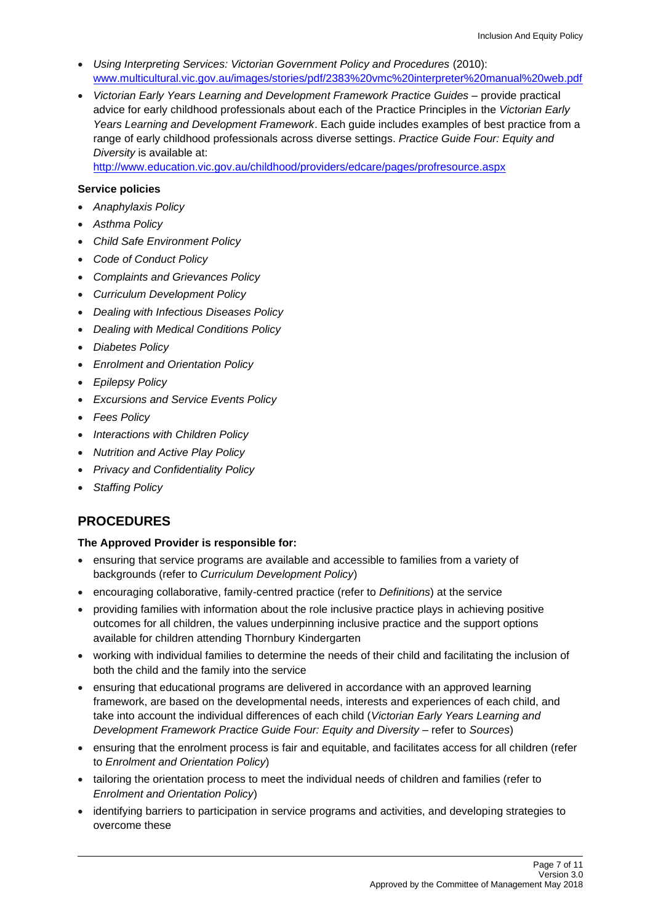- *Using Interpreting Services: Victorian Government Policy and Procedures* (2010): [www.multicultural.vic.gov.au/images/stories/pdf/2383%20vmc%20interpreter%20manual%20web.pdf](http://www.multicultural.vic.gov.au/images/stories/pdf/2383%20vmc%20interpreter%20manual%20web.pdf)
- *Victorian Early Years Learning and Development Framework Practice Guides* provide practical advice for early childhood professionals about each of the Practice Principles in the *Victorian Early Years Learning and Development Framework*. Each guide includes examples of best practice from a range of early childhood professionals across diverse settings. *Practice Guide Four: Equity and Diversity* is available at:

<http://www.education.vic.gov.au/childhood/providers/edcare/pages/profresource.aspx>

#### **Service policies**

- *Anaphylaxis Policy*
- *Asthma Policy*
- *Child Safe Environment Policy*
- *Code of Conduct Policy*
- *Complaints and Grievances Policy*
- *Curriculum Development Policy*
- *Dealing with Infectious Diseases Policy*
- *Dealing with Medical Conditions Policy*
- *Diabetes Policy*
- *Enrolment and Orientation Policy*
- *Epilepsy Policy*
- *Excursions and Service Events Policy*
- *Fees Policy*
- *Interactions with Children Policy*
- *Nutrition and Active Play Policy*
- *Privacy and Confidentiality Policy*
- *Staffing Policy*

# **PROCEDURES**

## **The Approved Provider is responsible for:**

- ensuring that service programs are available and accessible to families from a variety of backgrounds (refer to *Curriculum Development Policy*)
- encouraging collaborative, family-centred practice (refer to *Definitions*) at the service
- providing families with information about the role inclusive practice plays in achieving positive outcomes for all children, the values underpinning inclusive practice and the support options available for children attending Thornbury Kindergarten
- working with individual families to determine the needs of their child and facilitating the inclusion of both the child and the family into the service
- ensuring that educational programs are delivered in accordance with an approved learning framework, are based on the developmental needs, interests and experiences of each child, and take into account the individual differences of each child (*Victorian Early Years Learning and Development Framework Practice Guide Four: Equity and Diversity* – refer to *Sources*)
- ensuring that the enrolment process is fair and equitable, and facilitates access for all children (refer to *Enrolment and Orientation Policy*)
- tailoring the orientation process to meet the individual needs of children and families (refer to *Enrolment and Orientation Policy*)
- identifying barriers to participation in service programs and activities, and developing strategies to overcome these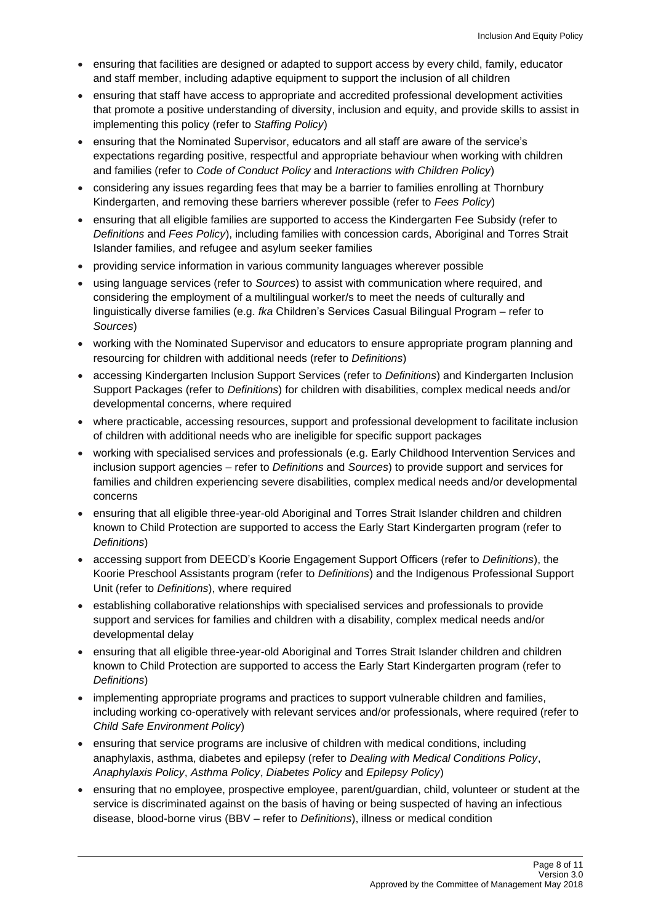- ensuring that facilities are designed or adapted to support access by every child, family, educator and staff member, including adaptive equipment to support the inclusion of all children
- ensuring that staff have access to appropriate and accredited professional development activities that promote a positive understanding of diversity, inclusion and equity, and provide skills to assist in implementing this policy (refer to *Staffing Policy*)
- ensuring that the Nominated Supervisor, educators and all staff are aware of the service's expectations regarding positive, respectful and appropriate behaviour when working with children and families (refer to *Code of Conduct Policy* and *Interactions with Children Policy*)
- considering any issues regarding fees that may be a barrier to families enrolling at Thornbury Kindergarten, and removing these barriers wherever possible (refer to *Fees Policy*)
- ensuring that all eligible families are supported to access the Kindergarten Fee Subsidy (refer to *Definitions* and *Fees Policy*), including families with concession cards, Aboriginal and Torres Strait Islander families, and refugee and asylum seeker families
- providing service information in various community languages wherever possible
- using language services (refer to *Sources*) to assist with communication where required, and considering the employment of a multilingual worker/s to meet the needs of culturally and linguistically diverse families (e.g. *fka* Children's Services Casual Bilingual Program – refer to *Sources*)
- working with the Nominated Supervisor and educators to ensure appropriate program planning and resourcing for children with additional needs (refer to *Definitions*)
- accessing Kindergarten Inclusion Support Services (refer to *Definitions*) and Kindergarten Inclusion Support Packages (refer to *Definitions*) for children with disabilities, complex medical needs and/or developmental concerns, where required
- where practicable, accessing resources, support and professional development to facilitate inclusion of children with additional needs who are ineligible for specific support packages
- working with specialised services and professionals (e.g. Early Childhood Intervention Services and inclusion support agencies – refer to *Definitions* and *Sources*) to provide support and services for families and children experiencing severe disabilities, complex medical needs and/or developmental concerns
- ensuring that all eligible three-year-old Aboriginal and Torres Strait Islander children and children known to Child Protection are supported to access the Early Start Kindergarten program (refer to *Definitions*)
- accessing support from DEECD's Koorie Engagement Support Officers (refer to *Definitions*), the Koorie Preschool Assistants program (refer to *Definitions*) and the Indigenous Professional Support Unit (refer to *Definitions*), where required
- establishing collaborative relationships with specialised services and professionals to provide support and services for families and children with a disability, complex medical needs and/or developmental delay
- ensuring that all eligible three-year-old Aboriginal and Torres Strait Islander children and children known to Child Protection are supported to access the Early Start Kindergarten program (refer to *Definitions*)
- implementing appropriate programs and practices to support vulnerable children and families, including working co-operatively with relevant services and/or professionals, where required (refer to *Child Safe Environment Policy*)
- ensuring that service programs are inclusive of children with medical conditions, including anaphylaxis, asthma, diabetes and epilepsy (refer to *Dealing with Medical Conditions Policy*, *Anaphylaxis Policy*, *Asthma Policy*, *Diabetes Policy* and *Epilepsy Policy*)
- ensuring that no employee, prospective employee, parent/guardian, child, volunteer or student at the service is discriminated against on the basis of having or being suspected of having an infectious disease, blood-borne virus (BBV – refer to *Definitions*), illness or medical condition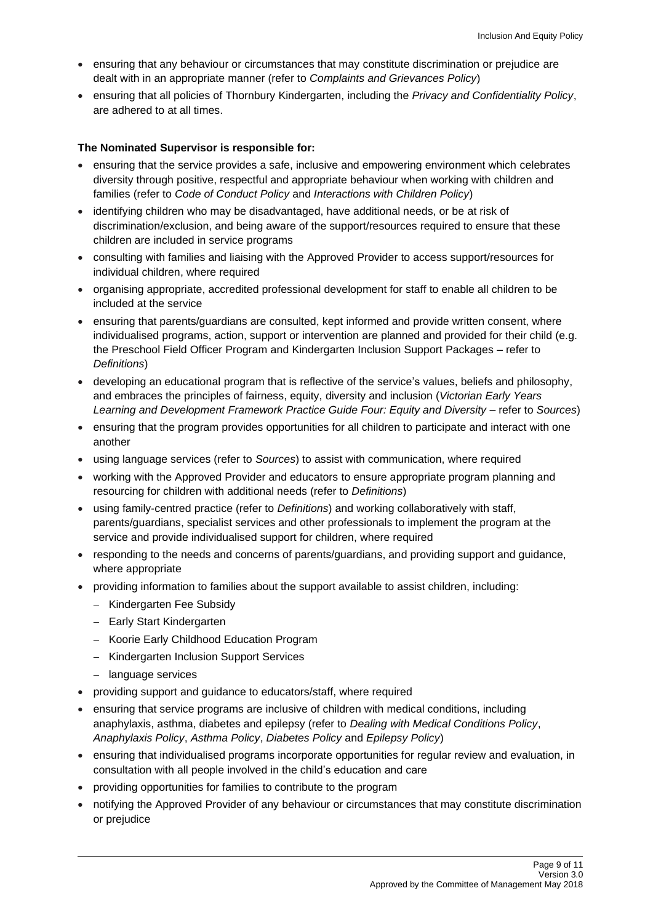- ensuring that any behaviour or circumstances that may constitute discrimination or prejudice are dealt with in an appropriate manner (refer to *Complaints and Grievances Policy*)
- ensuring that all policies of Thornbury Kindergarten, including the *Privacy and Confidentiality Policy*, are adhered to at all times.

#### **The Nominated Supervisor is responsible for:**

- ensuring that the service provides a safe, inclusive and empowering environment which celebrates diversity through positive, respectful and appropriate behaviour when working with children and families (refer to *Code of Conduct Policy* and *Interactions with Children Policy*)
- identifying children who may be disadvantaged, have additional needs, or be at risk of discrimination/exclusion, and being aware of the support/resources required to ensure that these children are included in service programs
- consulting with families and liaising with the Approved Provider to access support/resources for individual children, where required
- organising appropriate, accredited professional development for staff to enable all children to be included at the service
- ensuring that parents/guardians are consulted, kept informed and provide written consent, where individualised programs, action, support or intervention are planned and provided for their child (e.g. the Preschool Field Officer Program and Kindergarten Inclusion Support Packages – refer to *Definitions*)
- developing an educational program that is reflective of the service's values, beliefs and philosophy, and embraces the principles of fairness, equity, diversity and inclusion (*Victorian Early Years Learning and Development Framework Practice Guide Four: Equity and Diversity* – refer to *Sources*)
- ensuring that the program provides opportunities for all children to participate and interact with one another
- using language services (refer to *Sources*) to assist with communication, where required
- working with the Approved Provider and educators to ensure appropriate program planning and resourcing for children with additional needs (refer to *Definitions*)
- using family-centred practice (refer to *Definitions*) and working collaboratively with staff, parents/guardians, specialist services and other professionals to implement the program at the service and provide individualised support for children, where required
- responding to the needs and concerns of parents/guardians, and providing support and guidance, where appropriate
- providing information to families about the support available to assist children, including:
	- − Kindergarten Fee Subsidy
	- − Early Start Kindergarten
	- − Koorie Early Childhood Education Program
	- − Kindergarten Inclusion Support Services
	- − language services
- providing support and guidance to educators/staff, where required
- ensuring that service programs are inclusive of children with medical conditions, including anaphylaxis, asthma, diabetes and epilepsy (refer to *Dealing with Medical Conditions Policy*, *Anaphylaxis Policy*, *Asthma Policy*, *Diabetes Policy* and *Epilepsy Policy*)
- ensuring that individualised programs incorporate opportunities for regular review and evaluation, in consultation with all people involved in the child's education and care
- providing opportunities for families to contribute to the program
- notifying the Approved Provider of any behaviour or circumstances that may constitute discrimination or prejudice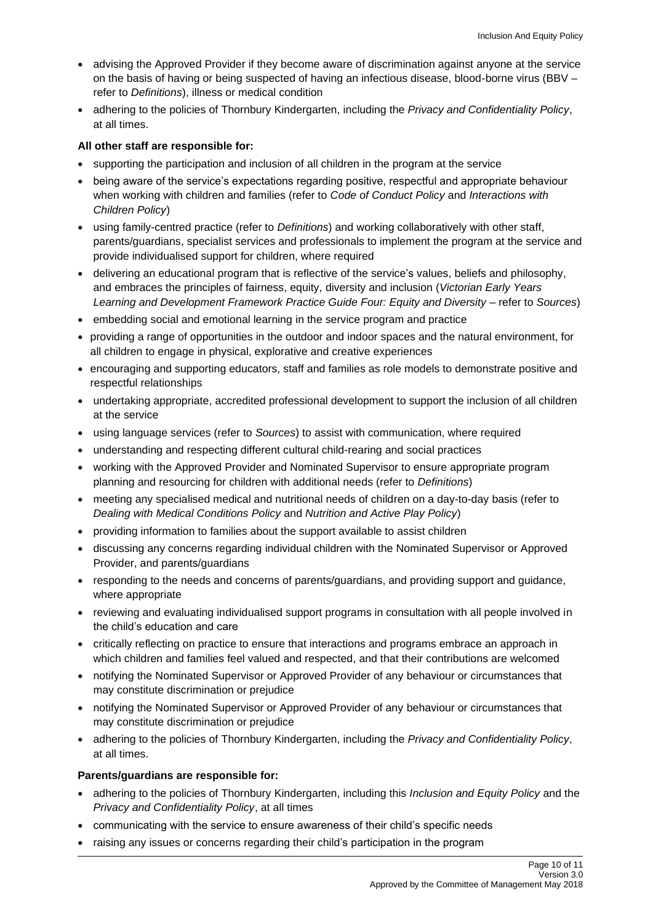- advising the Approved Provider if they become aware of discrimination against anyone at the service on the basis of having or being suspected of having an infectious disease, blood-borne virus (BBV – refer to *Definitions*), illness or medical condition
- adhering to the policies of Thornbury Kindergarten, including the *Privacy and Confidentiality Policy*, at all times.

#### **All other staff are responsible for:**

- supporting the participation and inclusion of all children in the program at the service
- being aware of the service's expectations regarding positive, respectful and appropriate behaviour when working with children and families (refer to *Code of Conduct Policy* and *Interactions with Children Policy*)
- using family-centred practice (refer to *Definitions*) and working collaboratively with other staff, parents/guardians, specialist services and professionals to implement the program at the service and provide individualised support for children, where required
- delivering an educational program that is reflective of the service's values, beliefs and philosophy, and embraces the principles of fairness, equity, diversity and inclusion (*Victorian Early Years Learning and Development Framework Practice Guide Four: Equity and Diversity* – refer to *Sources*)
- embedding social and emotional learning in the service program and practice
- providing a range of opportunities in the outdoor and indoor spaces and the natural environment, for all children to engage in physical, explorative and creative experiences
- encouraging and supporting educators, staff and families as role models to demonstrate positive and respectful relationships
- undertaking appropriate, accredited professional development to support the inclusion of all children at the service
- using language services (refer to *Sources*) to assist with communication, where required
- understanding and respecting different cultural child-rearing and social practices
- working with the Approved Provider and Nominated Supervisor to ensure appropriate program planning and resourcing for children with additional needs (refer to *Definitions*)
- meeting any specialised medical and nutritional needs of children on a day-to-day basis (refer to *Dealing with Medical Conditions Policy* and *Nutrition and Active Play Policy*)
- providing information to families about the support available to assist children
- discussing any concerns regarding individual children with the Nominated Supervisor or Approved Provider, and parents/guardians
- responding to the needs and concerns of parents/guardians, and providing support and guidance, where appropriate
- reviewing and evaluating individualised support programs in consultation with all people involved in the child's education and care
- critically reflecting on practice to ensure that interactions and programs embrace an approach in which children and families feel valued and respected, and that their contributions are welcomed
- notifying the Nominated Supervisor or Approved Provider of any behaviour or circumstances that may constitute discrimination or prejudice
- notifying the Nominated Supervisor or Approved Provider of any behaviour or circumstances that may constitute discrimination or prejudice
- adhering to the policies of Thornbury Kindergarten, including the *Privacy and Confidentiality Policy*, at all times.

#### **Parents/guardians are responsible for:**

- adhering to the policies of Thornbury Kindergarten, including this *Inclusion and Equity Policy* and the *Privacy and Confidentiality Policy*, at all times
- communicating with the service to ensure awareness of their child's specific needs
- raising any issues or concerns regarding their child's participation in the program